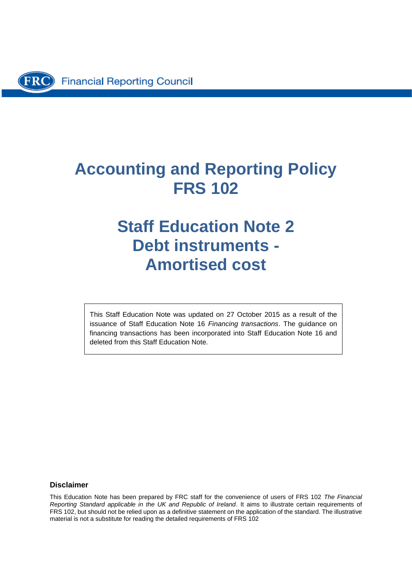# **Accounting and Reporting Policy FRS 102**

# **Staff Education Note 2 Debt instruments - Amortised cost**

This Staff Education Note was updated on 27 October 2015 as a result of the issuance of Staff Education Note 16 *Financing transactions*. The guidance on financing transactions has been incorporated into Staff Education Note 16 and deleted from this Staff Education Note.

#### **Disclaimer**

This Education Note has been prepared by FRC staff for the convenience of users of FRS 102 *The Financial Reporting Standard applicable in the UK and Republic of Ireland*. It aims to illustrate certain requirements of FRS 102, but should not be relied upon as a definitive statement on the application of the standard. The illustrative material is not a substitute for reading the detailed requirements of FRS 102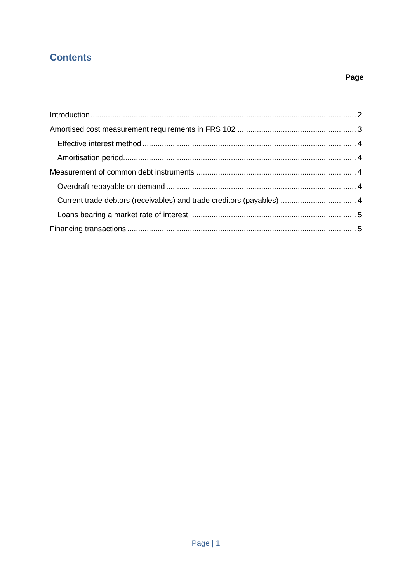# **Contents**

# Page

| Current trade debtors (receivables) and trade creditors (payables)  4 |  |
|-----------------------------------------------------------------------|--|
|                                                                       |  |
|                                                                       |  |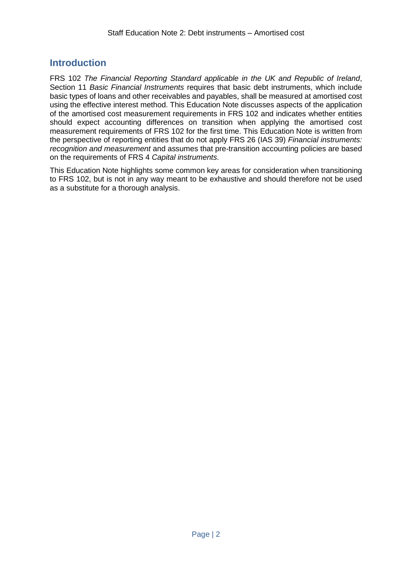## <span id="page-2-0"></span>**Introduction**

FRS 102 *The Financial Reporting Standard applicable in the UK and Republic of Ireland*, Section 11 *Basic Financial Instruments* requires that basic debt instruments, which include basic types of loans and other receivables and payables, shall be measured at amortised cost using the effective interest method. This Education Note discusses aspects of the application of the amortised cost measurement requirements in FRS 102 and indicates whether entities should expect accounting differences on transition when applying the amortised cost measurement requirements of FRS 102 for the first time. This Education Note is written from the perspective of reporting entities that do not apply FRS 26 (IAS 39) *Financial instruments: recognition and measurement* and assumes that pre-transition accounting policies are based on the requirements of FRS 4 *Capital instruments*.

This Education Note highlights some common key areas for consideration when transitioning to FRS 102, but is not in any way meant to be exhaustive and should therefore not be used as a substitute for a thorough analysis.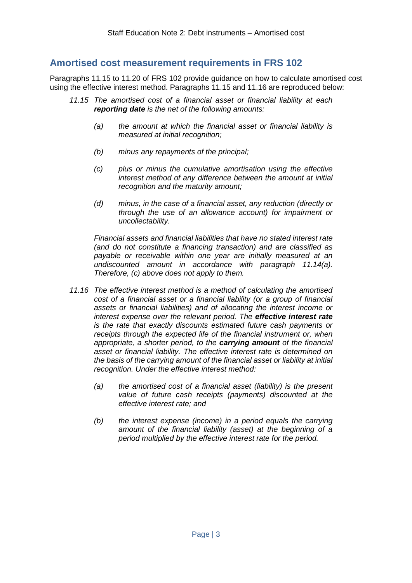### <span id="page-3-0"></span>**Amortised cost measurement requirements in FRS 102**

Paragraphs 11.15 to 11.20 of FRS 102 provide guidance on how to calculate amortised cost using the effective interest method. Paragraphs 11.15 and 11.16 are reproduced below:

- *11.15 The amortised cost of a financial asset or financial liability at each reporting date is the net of the following amounts:*
	- *(a) the amount at which the financial asset or financial liability is measured at initial recognition;*
	- *(b) minus any repayments of the principal;*
	- *(c) plus or minus the cumulative amortisation using the effective interest method of any difference between the amount at initial recognition and the maturity amount;*
	- *(d) minus, in the case of a financial asset, any reduction (directly or through the use of an allowance account) for impairment or uncollectability.*

*Financial assets and financial liabilities that have no stated interest rate (and do not constitute a financing transaction) and are classified as payable or receivable within one year are initially measured at an undiscounted amount in accordance with paragraph 11.14(a). Therefore, (c) above does not apply to them.*

- *11.16 The effective interest method is a method of calculating the amortised cost of a financial asset or a financial liability (or a group of financial assets or financial liabilities) and of allocating the interest income or interest expense over the relevant period. The effective interest rate is the rate that exactly discounts estimated future cash payments or receipts through the expected life of the financial instrument or, when appropriate, a shorter period, to the carrying amount of the financial asset or financial liability. The effective interest rate is determined on the basis of the carrying amount of the financial asset or liability at initial recognition. Under the effective interest method:*
	- *(a) the amortised cost of a financial asset (liability) is the present value of future cash receipts (payments) discounted at the effective interest rate; and*
	- *(b) the interest expense (income) in a period equals the carrying amount of the financial liability (asset) at the beginning of a period multiplied by the effective interest rate for the period.*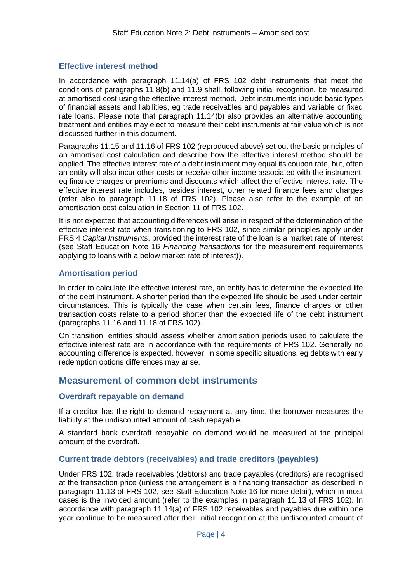#### <span id="page-4-0"></span>**Effective interest method**

In accordance with paragraph 11.14(a) of FRS 102 debt instruments that meet the conditions of paragraphs 11.8(b) and 11.9 shall, following initial recognition, be measured at amortised cost using the effective interest method. Debt instruments include basic types of financial assets and liabilities, eg trade receivables and payables and variable or fixed rate loans. Please note that paragraph 11.14(b) also provides an alternative accounting treatment and entities may elect to measure their debt instruments at fair value which is not discussed further in this document.

Paragraphs 11.15 and 11.16 of FRS 102 (reproduced above) set out the basic principles of an amortised cost calculation and describe how the effective interest method should be applied. The effective interest rate of a debt instrument may equal its coupon rate, but, often an entity will also incur other costs or receive other income associated with the instrument, eg finance charges or premiums and discounts which affect the effective interest rate. The effective interest rate includes, besides interest, other related finance fees and charges (refer also to paragraph 11.18 of FRS 102). Please also refer to the example of an amortisation cost calculation in Section 11 of FRS 102.

It is not expected that accounting differences will arise in respect of the determination of the effective interest rate when transitioning to FRS 102, since similar principles apply under FRS 4 *Capital Instruments*, provided the interest rate of the loan is a market rate of interest (see Staff Education Note 16 *Financing transactions* for the measurement requirements applying to loans with a below market rate of interest)).

#### <span id="page-4-1"></span>**Amortisation period**

In order to calculate the effective interest rate, an entity has to determine the expected life of the debt instrument. A shorter period than the expected life should be used under certain circumstances. This is typically the case when certain fees, finance charges or other transaction costs relate to a period shorter than the expected life of the debt instrument (paragraphs 11.16 and 11.18 of FRS 102).

On transition, entities should assess whether amortisation periods used to calculate the effective interest rate are in accordance with the requirements of FRS 102. Generally no accounting difference is expected, however, in some specific situations, eg debts with early redemption options differences may arise.

### <span id="page-4-2"></span>**Measurement of common debt instruments**

#### <span id="page-4-3"></span>**Overdraft repayable on demand**

If a creditor has the right to demand repayment at any time, the borrower measures the liability at the undiscounted amount of cash repayable.

A standard bank overdraft repayable on demand would be measured at the principal amount of the overdraft.

#### <span id="page-4-4"></span>**Current trade debtors (receivables) and trade creditors (payables)**

Under FRS 102, trade receivables (debtors) and trade payables (creditors) are recognised at the transaction price (unless the arrangement is a financing transaction as described in paragraph 11.13 of FRS 102, see Staff Education Note 16 for more detail), which in most cases is the invoiced amount (refer to the examples in paragraph 11.13 of FRS 102). In accordance with paragraph 11.14(a) of FRS 102 receivables and payables due within one year continue to be measured after their initial recognition at the undiscounted amount of